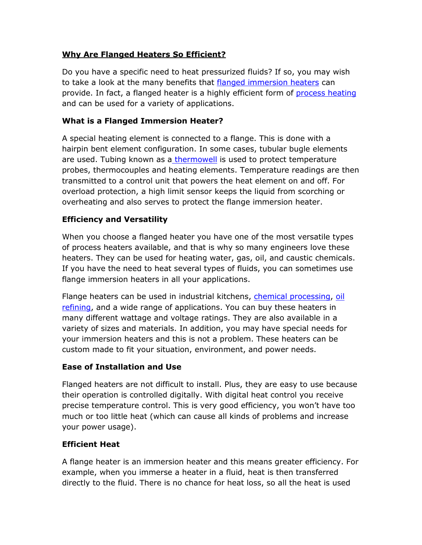# **Why Are Flanged Heaters So Efficient?**

Do you have a specific need to heat pressurized fluids? If so, you may wish to take a look at the many benefits that [flanged immersion heaters](http://www.wattco.com/flange-heaters.html) can provide. In fact, a flanged heater is a highly efficient form of [process heating](http://www.wattco.com/products/search?keyword=&keyword=process+heating) and can be used for a variety of applications.

## **What is a Flanged Immersion Heater?**

A special heating element is connected to a flange. This is done with a hairpin bent element configuration. In some cases, tubular bugle elements are used. Tubing known as a [thermowell](http://www.wattco.com/products/search?keyword=&keyword=+thermowell+) is used to protect temperature probes, thermocouples and heating elements. Temperature readings are then transmitted to a control unit that powers the heat element on and off. For overload protection, a high limit sensor keeps the liquid from scorching or overheating and also serves to protect the flange immersion heater.

# **Efficiency and Versatility**

When you choose a flanged heater you have one of the most versatile types of process heaters available, and that is why so many engineers love these heaters. They can be used for heating water, gas, oil, and caustic chemicals. If you have the need to heat several types of fluids, you can sometimes use flange immersion heaters in all your applications.

Flange heaters can be used in industrial kitchens, [chemical processing,](https://en.wikipedia.org/wiki/Chemical_industry) [oil](https://en.wikipedia.org/wiki/Oil_refinery)  [refining,](https://en.wikipedia.org/wiki/Oil_refinery) and a wide range of applications. You can buy these heaters in many different wattage and voltage ratings. They are also available in a variety of sizes and materials. In addition, you may have special needs for your immersion heaters and this is not a problem. These heaters can be custom made to fit your situation, environment, and power needs.

### **Ease of Installation and Use**

Flanged heaters are not difficult to install. Plus, they are easy to use because their operation is controlled digitally. With digital heat control you receive precise temperature control. This is very good efficiency, you won't have too much or too little heat (which can cause all kinds of problems and increase your power usage).

### **Efficient Heat**

A flange heater is an immersion heater and this means greater efficiency. For example, when you immerse a heater in a fluid, heat is then transferred directly to the fluid. There is no chance for heat loss, so all the heat is used